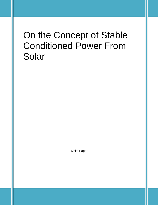## On the Concept of Stable Conditioned Power From Solar

White Paper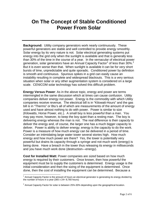## **On The Concept of Stable Conditioned Power From Solar**

**Background:** Utility company generators work nearly continuously. These powerful generators are stable and well controlled to provide energy smoothly. Solar energy by its very nature is not. Solar electrical generating systems put energy into the grid only when the sunlight is available and that is generally less than 30% of the time in the course of a year. In the vernacular of electrical power generation, solar generators have an Annual Capacity Factor<sup>[1](#page-1-0)</sup> of less than 30%.<sup>[2](#page-1-1)</sup> But it is even worse than that. When sunlight is available it can be for very short bursts of time, unpredictable and quite sporadic. Conditioned power by definition is smooth and continuous. Spurious spikes in a grid can easily cause an instability resulting in complete and widespread blackouts. This is a very serious situation when solar or any other augmentation system is considered on a large scale. CENICOM solar technology has solved this difficult problem.

**Energy Versus Power**: As in the above topic, energy and power are terms intermingled in the same discussion which at times can cause confusion. Utility companies deliver energy not power. Energy is the commodity with which Utility companies receive revenue. The electrical bill is in "Kilowatt-Hours" and the gas bill is in "Therms" or Btu's all of which are measurements of the amount of energy used and have almost nothing to do with power. Power is similar to size (Kilowatts, Horse Power, etc.). A small boy is less powerful than a man. You may pay more, however, to keep the boy quiet than a resting man. The boy is delivering energy whereas the man is not. The real difference is their *capacity* to deliver the energy and, of course, the larger one has a much bigger capacity to deliver. Power is ability to deliver energy; energy is the capacity to do the work. Power is a measure of how much *energy* can be delivered in a period of time. Consider an intimidating large water tower several stories high. How much energy and how much power are there? Yes, the tower is potentially very powerful but drains its capacity through a syringe and not much work (energy) is being done. Have a breach in the tower thus releasing its energy in milliseconds and you have much work done (destruction—energy).

**Cost for Installed Watt:** Power companies are *sized* based on how much *energy* is required by their customers. Once known, then how *powerful* the equipment must be to supply the customers is determined. Energy usage is the initial consideration and then the sizing of the equipment is determined. Once done, then the cost of installing the equipment can be determined. Because a

<span id="page-1-0"></span> $1$  Annual Capacity Factor is the amount of hours an electrical generator is generating its energy divided by the number of hours in a year  $(365 \times 24 = 8,760$  hours)  $\overline{a}$ 

<span id="page-1-1"></span> $2$  Annual Capacity Factor for solar is between 25%-30% depending upon the geographical location.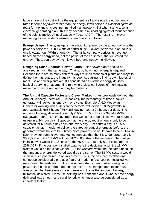large share of the cost will be the equipment itself and since the equipment is rated in terms of *power* rather than the energy it will deliver, a classical *figure of merit* for a plant is its cost per installed *watt* (power). But when sizing a solar electrical generating plant, this may become a misleading figure of merit because of the solar's implied Annual Capacity Factor (ACF). The result is in clever marketing as will be demonstrated in an analysis to follow.

**Energy Usage**: Energy usage is the amount of power by the amount of time the power is delivered. 1000 Watts of *power* (One Kilowatt) delivered in an hour is one kilowatt-hour (kWh) of energy. The utility company derives its revenue based on the energy used, not the power of the equipment that delivered the energy. Thus, you pay by the kilowatt-hour and not by the kilowatt.

**Designing Solar Electrical Power Plants**: Solar power plants should be analyzed in much the same way. That is, by how much energy is required. Because there are so many different ways to implement solar plants and ways to define their attributes, the industry has been struggling to find its own figures of merit. Solar power plants are still considered as *alternate* energy devices basically serving an augmenting role where classical figures of merit may not make much sense and again, may be misleading.

**The Annual Capacity Factor and Clever Marketing**: As previously defined, the Annual Capacity Factor (ACF) is basically the percentage of time a power generator will deliver its energy in one year. Example: A 6.0 Megawatt Generator working with a 76% capacity factor will deliver 6.0 Megawatts in approximately 6658 hours (.76 x 365 day per year x 24 hours per day). The amount of energy delivered is simply 6 MW x 6658 Hours or 39,948 MWh (Megawatt-hours). On the average, this works out to be a little over 18-hours of usage in a 24-hour day. Suppose that the energy requirement is only to be delivered for 6-hours a day each and every day. Six hours a day is a 25% capacity factor. In order to deliver the *same* amount of energy as before, the generator would have to be 3 times more powerful or would have to be 18 MW in *size*. Now for some clever marketing: suppose that the 6 MW generator sold for \$600,000 and the 18 MW sold for \$1,200,000 (twice the amount). The cost per installed watt would be 10 cents for the 76% ACF but only 6 2/3 cents for the 25% ACF. If the cost per installed watt were the deciding factor, the 18 MW system would be the clear winner. But the *revenue* would be the same because the amount of energy delivered would be the same. The 18 MW system would show a much poorer return on investment. Thus, the cost per installed watt cannot be considered alone as a figure of merit. In fact, cost per installed watt may indeed be misleading. Sizing is an important criterion when designing a power plant but it is more a dependent factor. The independent factor must always be what best serves the end user and that is the amount of energy ultimately delivered. Of course nothing was mentioned about whether the energy delivered was smooth and conditioned, which must also be considered as an important factor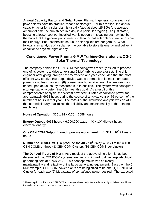**Annual Capacity Factor and Solar Power Plants**: In general, solar electrical power plants have no practical means of storage<sup>[3](#page-3-0)</sup>. For this reason, the annual capacity factor for a solar plant is usually *fixed* at about 25-30% (the average amount of time the sun shines in a day in a particular region.). As just stated, boasting a lesser cost per installed watt is not only misleading but may just be the hook that the general public needs to lean toward solar plants unable to store their energy. But uncontrolled spurious solar spikes are dangerous. What follows is an analysis of a solar technology able to store its energy and deliver it conditioned anytime night or day.

## **Conditioned Power From a 6-MW Turbine-Generator via OG-5 Solar Thermal Technology**

The company behind the CENICOM technology was recently asked to propose one of its systems to drive an existing 6 MW turbine generator set. The chief engineer after going through *several* tradeoff analyses concluded that the most efficient way to drive this output device was to operate it at its maximum rated power for no less than eight (8) consecutive hours at a time. His analysis was based upon actual hourly measured sun intensities. The system was configured (storage capacity determined) to meet this goal. As a result of this comprehensive analysis, the system provided full rated conditioned power for approximately 6658 hours during the course of a typical year or 76 percent of the number of hours in that year. The *fallout* of the simulation analysis was an ACF that serendipitously maximizes the reliability and maintainability of the rotating machinery.

**Hours of Operation**: 365 x 24 x 0.76 = 6658 hours

**Energy Output:** 6658 hours x 6,000,000 watts =  $40 \times 10^6$  kilowatt-hours electrical energy

**One CENICOM Output (based upon measured sunlight): 371 x 10<sup>3</sup> kilowatt**hours

**Number of CENICOMS (To produce the 40 x 10<sup>6</sup> kWh):**  $4 / 3.71 \times 10^2 = 108$ CENICOMS or three (3) CENICOM Clusters (36 CENICOMS per cluster)

**The Derived Figure of Merit**: As a result of the above simulation, it has been determined that CENICOM systems are best configured to drive large electrical generating sets at a 76% ACF. This concept maximizes efficiency, maintainability and reliability of the large generating equipment. Based on the 6 MW example, CENICOM power plants are being sized to be one (1)-CENICOM Cluster for each two (2) Megawatts of *conditioned* power desired. The expected

<span id="page-3-0"></span> $3$  The exception to this is the CENICOM technology whose major feature is its ability to deliver conditioned (smooth) solar derived energy anytime night or day.  $\overline{\phantom{a}}$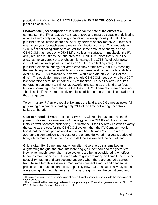practical limit of ganging CENICOM clusters is 20 (720 CENICOMS) or a power plant size of [4](#page-4-0)0 MW.<sup>4</sup>

**Photovoltaic (PV) comparison**: It is important to note at the outset of a comparison that PV arrays *do not store energy* and must be capable of delivering all of its energy only during sunlight hours and even spuriously at that. The published specification of such a PV array delivers approximately 216 kWh's of energy per year for each square meter of collection surface. This amounts to 1718 M2 of collecting surface to deliver the *same* amount of energy as *one* CENICOM that needs only 650.3  $M^2$  of collecting surface. Immediately, the PV array requires 2.6 times the land area of a CENICOM. Note that such a PV array, at the very apex of a bright sun, is intercepting 1718 kW of solar power (1.0 Kilowatt of solar power impinges on 1.0  $M^2$  of collecting area). The published electrical energy delivered efficiency of this array is 8.45% meaning that machinery *must* be available to process these peak power loads of slightly over 145 kW. This machinery, however, would operate only 29.22% of the time<sup>[5](#page-4-1)</sup>. The equivalent machinery for a single CENICOM needs only to be a 55.7 kW generator operating smoothly 76% of the time. Thus a PV array requires generating equipment 2.6 times as powerful (the same as the land area factor) but only operating 38% of the time that the CENICOM generators are operating. This is a significantly more costly and less efficient process and it is sporadic and thus dangerous.

To summarize, PV arrays require 2.6 times the land area, 2.6 times as powerful generating equipment operating only 29% of the time delivering uncontrolled spikes to the grid.

**Cost per Installed Watt**: Because a PV array will require 2.6 times as much power to deliver the *same amount of energy* as one CENICOM, the cost per installed watt becomes misleading. For instance, if the PV array cost was exactly the same as the cost for the CENICOM system, then the PV Company would boast that their cost per installed watt would be 2.6 times *less*. The more appropriate comparison is the cost for the energy delivered in a year's period of time, which must include the cost to install the system and the cost of land.

**Grid Instability**: Some time ago when alternative energy systems began augmenting the grid, the amounts were negligible compared to the grid's size. Now, when much larger alternative systems are being considered, their effect becomes more significant. In areas where grids are many and small, there is the possibility that the grid can become unstable when there are sporadic surges from these alternative systems. Grid surges present serious and dangerous problems and must be controlled, especially now that these alternative systems are evolving into much larger size. That is, the grids must be conditioned and

 $\overline{a}$ 

<span id="page-4-0"></span> $4$  The crossover point where the percentage of losses through ganging begins to erode the percentage of energy delivered.

<span id="page-4-1"></span>This is determined by the energy delivered in one year using a 145 kW sized generator set, i.e. 371 x103 kWh/145 kW = 2559 hours or 2559/8760 = 29.2%